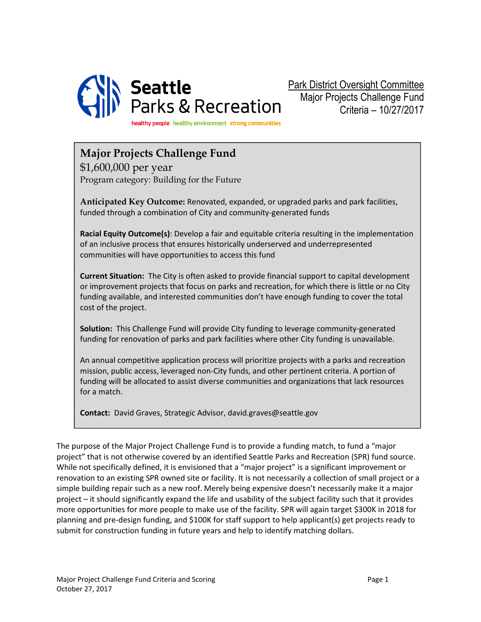

Park District Oversight Committee Major Projects Challenge Fund Criteria – 10/27/2017

healthy people healthy environment strong communities

## Major Projects Challenge Fund

\$1,600,000 per year Program category: Building for the Future

Anticipated Key Outcome: Renovated, expanded, or upgraded parks and park facilities, funded through a combination of City and community-generated funds

Racial Equity Outcome(s): Develop a fair and equitable criteria resulting in the implementation of an inclusive process that ensures historically underserved and underrepresented communities will have opportunities to access this fund

Current Situation: The City is often asked to provide financial support to capital development or improvement projects that focus on parks and recreation, for which there is little or no City funding available, and interested communities don't have enough funding to cover the total cost of the project.

Solution: This Challenge Fund will provide City funding to leverage community-generated funding for renovation of parks and park facilities where other City funding is unavailable.

An annual competitive application process will prioritize projects with a parks and recreation mission, public access, leveraged non-City funds, and other pertinent criteria. A portion of funding will be allocated to assist diverse communities and organizations that lack resources for a match.

Contact: David Graves, Strategic Advisor, david.graves@seattle.gov

The purpose of the Major Project Challenge Fund is to provide a funding match, to fund a "major project" that is not otherwise covered by an identified Seattle Parks and Recreation (SPR) fund source. While not specifically defined, it is envisioned that a "major project" is a significant improvement or renovation to an existing SPR owned site or facility. It is not necessarily a collection of small project or a simple building repair such as a new roof. Merely being expensive doesn't necessarily make it a major project – it should significantly expand the life and usability of the subject facility such that it provides more opportunities for more people to make use of the facility. SPR will again target \$300K in 2018 for planning and pre-design funding, and \$100K for staff support to help applicant(s) get projects ready to submit for construction funding in future years and help to identify matching dollars.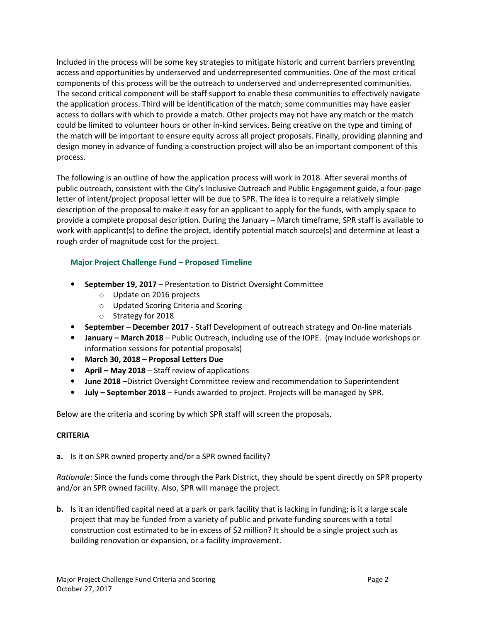Included in the process will be some key strategies to mitigate historic and current barriers preventing access and opportunities by underserved and underrepresented communities. One of the most critical components of this process will be the outreach to underserved and underrepresented communities. The second critical component will be staff support to enable these communities to effectively navigate the application process. Third will be identification of the match; some communities may have easier access to dollars with which to provide a match. Other projects may not have any match or the match could be limited to volunteer hours or other in-kind services. Being creative on the type and timing of the match will be important to ensure equity across all project proposals. Finally, providing planning and design money in advance of funding a construction project will also be an important component of this process.

The following is an outline of how the application process will work in 2018. After several months of public outreach, consistent with the City's Inclusive Outreach and Public Engagement guide, a four-page letter of intent/project proposal letter will be due to SPR. The idea is to require a relatively simple description of the proposal to make it easy for an applicant to apply for the funds, with amply space to provide a complete proposal description. During the January – March timeframe, SPR staff is available to work with applicant(s) to define the project, identify potential match source(s) and determine at least a rough order of magnitude cost for the project.

### Major Project Challenge Fund – Proposed Timeline

- September 19, 2017 Presentation to District Oversight Committee
	- o Update on 2016 projects
	- o Updated Scoring Criteria and Scoring
	- o Strategy for 2018
- September December 2017 Staff Development of outreach strategy and On-line materials
- January March 2018 Public Outreach, including use of the IOPE. (may include workshops or information sessions for potential proposals)
- March 30, 2018 Proposal Letters Due
- April May 2018 Staff review of applications
- June 2018 District Oversight Committee review and recommendation to Superintendent
- July September 2018 Funds awarded to project. Projects will be managed by SPR.

Below are the criteria and scoring by which SPR staff will screen the proposals.

#### CRITERIA

a. Is it on SPR owned property and/or a SPR owned facility?

Rationale: Since the funds come through the Park District, they should be spent directly on SPR property and/or an SPR owned facility. Also, SPR will manage the project.

b. Is it an identified capital need at a park or park facility that is lacking in funding; is it a large scale project that may be funded from a variety of public and private funding sources with a total construction cost estimated to be in excess of \$2 million? It should be a single project such as building renovation or expansion, or a facility improvement.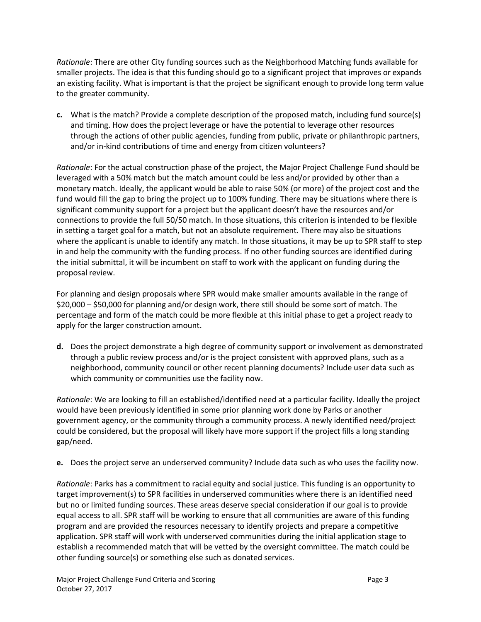Rationale: There are other City funding sources such as the Neighborhood Matching funds available for smaller projects. The idea is that this funding should go to a significant project that improves or expands an existing facility. What is important is that the project be significant enough to provide long term value to the greater community.

c. What is the match? Provide a complete description of the proposed match, including fund source(s) and timing. How does the project leverage or have the potential to leverage other resources through the actions of other public agencies, funding from public, private or philanthropic partners, and/or in-kind contributions of time and energy from citizen volunteers?

Rationale: For the actual construction phase of the project, the Major Project Challenge Fund should be leveraged with a 50% match but the match amount could be less and/or provided by other than a monetary match. Ideally, the applicant would be able to raise 50% (or more) of the project cost and the fund would fill the gap to bring the project up to 100% funding. There may be situations where there is significant community support for a project but the applicant doesn't have the resources and/or connections to provide the full 50/50 match. In those situations, this criterion is intended to be flexible in setting a target goal for a match, but not an absolute requirement. There may also be situations where the applicant is unable to identify any match. In those situations, it may be up to SPR staff to step in and help the community with the funding process. If no other funding sources are identified during the initial submittal, it will be incumbent on staff to work with the applicant on funding during the proposal review.

For planning and design proposals where SPR would make smaller amounts available in the range of \$20,000 – \$50,000 for planning and/or design work, there still should be some sort of match. The percentage and form of the match could be more flexible at this initial phase to get a project ready to apply for the larger construction amount.

d. Does the project demonstrate a high degree of community support or involvement as demonstrated through a public review process and/or is the project consistent with approved plans, such as a neighborhood, community council or other recent planning documents? Include user data such as which community or communities use the facility now.

Rationale: We are looking to fill an established/identified need at a particular facility. Ideally the project would have been previously identified in some prior planning work done by Parks or another government agency, or the community through a community process. A newly identified need/project could be considered, but the proposal will likely have more support if the project fills a long standing gap/need.

e. Does the project serve an underserved community? Include data such as who uses the facility now.

Rationale: Parks has a commitment to racial equity and social justice. This funding is an opportunity to target improvement(s) to SPR facilities in underserved communities where there is an identified need but no or limited funding sources. These areas deserve special consideration if our goal is to provide equal access to all. SPR staff will be working to ensure that all communities are aware of this funding program and are provided the resources necessary to identify projects and prepare a competitive application. SPR staff will work with underserved communities during the initial application stage to establish a recommended match that will be vetted by the oversight committee. The match could be other funding source(s) or something else such as donated services.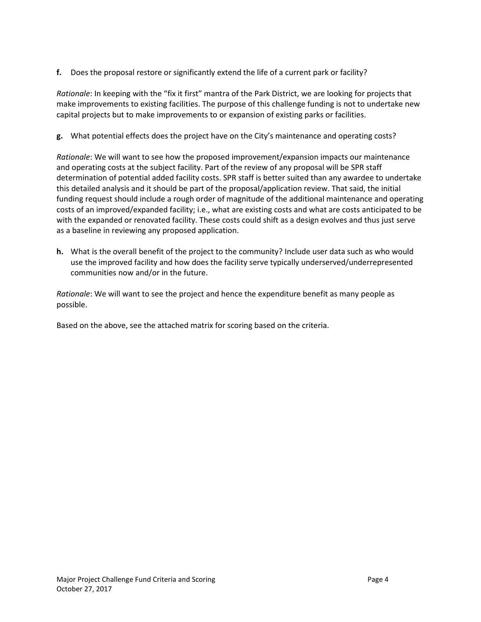f. Does the proposal restore or significantly extend the life of a current park or facility?

Rationale: In keeping with the "fix it first" mantra of the Park District, we are looking for projects that make improvements to existing facilities. The purpose of this challenge funding is not to undertake new capital projects but to make improvements to or expansion of existing parks or facilities.

g. What potential effects does the project have on the City's maintenance and operating costs?

Rationale: We will want to see how the proposed improvement/expansion impacts our maintenance and operating costs at the subject facility. Part of the review of any proposal will be SPR staff determination of potential added facility costs. SPR staff is better suited than any awardee to undertake this detailed analysis and it should be part of the proposal/application review. That said, the initial funding request should include a rough order of magnitude of the additional maintenance and operating costs of an improved/expanded facility; i.e., what are existing costs and what are costs anticipated to be with the expanded or renovated facility. These costs could shift as a design evolves and thus just serve as a baseline in reviewing any proposed application.

h. What is the overall benefit of the project to the community? Include user data such as who would use the improved facility and how does the facility serve typically underserved/underrepresented communities now and/or in the future.

Rationale: We will want to see the project and hence the expenditure benefit as many people as possible.

Based on the above, see the attached matrix for scoring based on the criteria.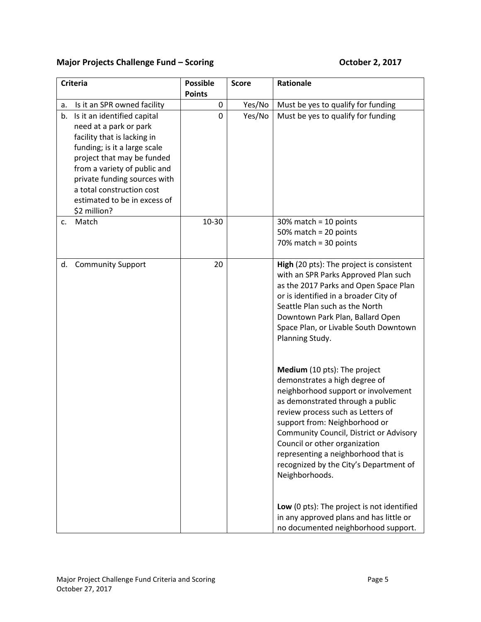# Major Projects Challenge Fund – Scoring Changer Changer Controller 2, 2017

| <b>Criteria</b>                                                                                                                                                                                                                                                                                       | <b>Possible</b><br><b>Points</b> | <b>Score</b> | Rationale                                                                                                                                                                                                                                                                                                                                                                                     |
|-------------------------------------------------------------------------------------------------------------------------------------------------------------------------------------------------------------------------------------------------------------------------------------------------------|----------------------------------|--------------|-----------------------------------------------------------------------------------------------------------------------------------------------------------------------------------------------------------------------------------------------------------------------------------------------------------------------------------------------------------------------------------------------|
| Is it an SPR owned facility<br>а.                                                                                                                                                                                                                                                                     | $\pmb{0}$                        | Yes/No       | Must be yes to qualify for funding                                                                                                                                                                                                                                                                                                                                                            |
| Is it an identified capital<br>b.<br>need at a park or park<br>facility that is lacking in<br>funding; is it a large scale<br>project that may be funded<br>from a variety of public and<br>private funding sources with<br>a total construction cost<br>estimated to be in excess of<br>\$2 million? | $\Omega$                         | Yes/No       | Must be yes to qualify for funding                                                                                                                                                                                                                                                                                                                                                            |
| Match<br>c.                                                                                                                                                                                                                                                                                           | 10-30                            |              | $30\%$ match = 10 points<br>50% match = $20$ points<br>$70\%$ match = 30 points                                                                                                                                                                                                                                                                                                               |
| <b>Community Support</b><br>d.                                                                                                                                                                                                                                                                        | 20                               |              | High (20 pts): The project is consistent<br>with an SPR Parks Approved Plan such<br>as the 2017 Parks and Open Space Plan<br>or is identified in a broader City of<br>Seattle Plan such as the North<br>Downtown Park Plan, Ballard Open<br>Space Plan, or Livable South Downtown<br>Planning Study.                                                                                          |
|                                                                                                                                                                                                                                                                                                       |                                  |              | Medium (10 pts): The project<br>demonstrates a high degree of<br>neighborhood support or involvement<br>as demonstrated through a public<br>review process such as Letters of<br>support from: Neighborhood or<br>Community Council, District or Advisory<br>Council or other organization<br>representing a neighborhood that is<br>recognized by the City's Department of<br>Neighborhoods. |
|                                                                                                                                                                                                                                                                                                       |                                  |              | Low (0 pts): The project is not identified<br>in any approved plans and has little or<br>no documented neighborhood support.                                                                                                                                                                                                                                                                  |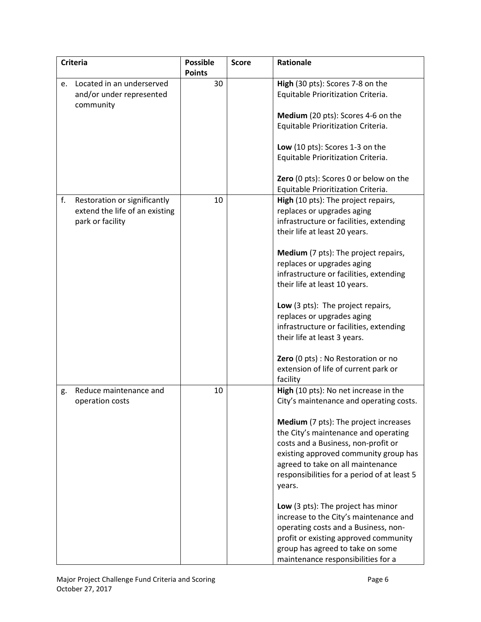|    | <b>Criteria</b>                | <b>Possible</b> | <b>Score</b> | Rationale                                   |
|----|--------------------------------|-----------------|--------------|---------------------------------------------|
|    |                                | <b>Points</b>   |              |                                             |
| e. | Located in an underserved      | 30              |              | High (30 pts): Scores 7-8 on the            |
|    | and/or under represented       |                 |              | Equitable Prioritization Criteria.          |
|    | community                      |                 |              |                                             |
|    |                                |                 |              | Medium (20 pts): Scores 4-6 on the          |
|    |                                |                 |              | Equitable Prioritization Criteria.          |
|    |                                |                 |              |                                             |
|    |                                |                 |              | Low (10 pts): Scores 1-3 on the             |
|    |                                |                 |              | Equitable Prioritization Criteria.          |
|    |                                |                 |              |                                             |
|    |                                |                 |              | Zero (0 pts): Scores 0 or below on the      |
|    |                                |                 |              | Equitable Prioritization Criteria.          |
| f. | Restoration or significantly   | 10              |              | High (10 pts): The project repairs,         |
|    | extend the life of an existing |                 |              | replaces or upgrades aging                  |
|    | park or facility               |                 |              | infrastructure or facilities, extending     |
|    |                                |                 |              | their life at least 20 years.               |
|    |                                |                 |              | Medium (7 pts): The project repairs,        |
|    |                                |                 |              | replaces or upgrades aging                  |
|    |                                |                 |              | infrastructure or facilities, extending     |
|    |                                |                 |              | their life at least 10 years.               |
|    |                                |                 |              |                                             |
|    |                                |                 |              | Low (3 pts): The project repairs,           |
|    |                                |                 |              | replaces or upgrades aging                  |
|    |                                |                 |              | infrastructure or facilities, extending     |
|    |                                |                 |              | their life at least 3 years.                |
|    |                                |                 |              |                                             |
|    |                                |                 |              | Zero (0 pts) : No Restoration or no         |
|    |                                |                 |              | extension of life of current park or        |
|    |                                |                 |              | facility                                    |
| g. | Reduce maintenance and         | 10              |              | High (10 pts): No net increase in the       |
|    | operation costs                |                 |              | City's maintenance and operating costs.     |
|    |                                |                 |              |                                             |
|    |                                |                 |              | Medium (7 pts): The project increases       |
|    |                                |                 |              | the City's maintenance and operating        |
|    |                                |                 |              | costs and a Business, non-profit or         |
|    |                                |                 |              | existing approved community group has       |
|    |                                |                 |              | agreed to take on all maintenance           |
|    |                                |                 |              | responsibilities for a period of at least 5 |
|    |                                |                 |              | years.                                      |
|    |                                |                 |              | Low (3 pts): The project has minor          |
|    |                                |                 |              | increase to the City's maintenance and      |
|    |                                |                 |              | operating costs and a Business, non-        |
|    |                                |                 |              | profit or existing approved community       |
|    |                                |                 |              | group has agreed to take on some            |
|    |                                |                 |              | maintenance responsibilities for a          |